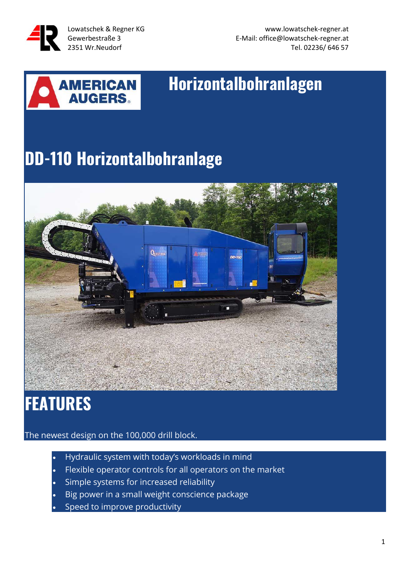

Lowatschek & Regner KG www.lowatschek-regner.at Gewerbestraße 3 E-Mail: office@lowatschek-regner.at 2351 Wr.Neudorf **Tel. 02236/ 646 57** 



# **Horizontalbohranlagen**

# **DD-110 Horizontalbohranlage**



# **FEATURES**

The newest design on the 100,000 drill block.

- Hydraulic system with today's workloads in mind
- Flexible operator controls for all operators on the market
- Simple systems for increased reliability
- Big power in a small weight conscience package
- Speed to improve productivity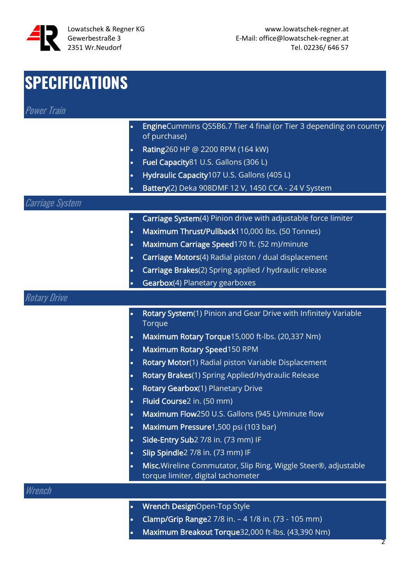

| <b>SPECIFICATIONS</b> |                                                                                                       |
|-----------------------|-------------------------------------------------------------------------------------------------------|
| <b>Power Train</b>    |                                                                                                       |
| $\bullet$             | EngineCummins QS5B6.7 Tier 4 final (or Tier 3 depending on country<br>of purchase)                    |
| $\bullet$             | Rating260 HP @ 2200 RPM (164 kW)                                                                      |
| $\bullet$             | Fuel Capacity81 U.S. Gallons (306 L)                                                                  |
| $\bullet$             | Hydraulic Capacity107 U.S. Gallons (405 L)                                                            |
|                       | Battery(2) Deka 908DMF 12 V, 1450 CCA - 24 V System                                                   |
| Carriage System       |                                                                                                       |
| $\bullet$             | Carriage System(4) Pinion drive with adjustable force limiter                                         |
| $\bullet$             | Maximum Thrust/Pullback110,000 lbs. (50 Tonnes)                                                       |
| $\bullet$             | Maximum Carriage Speed170 ft. (52 m)/minute                                                           |
| $\bullet$             | Carriage Motors(4) Radial piston / dual displacement                                                  |
| $\bullet$             | Carriage Brakes(2) Spring applied / hydraulic release                                                 |
| $\bullet$             | Gearbox(4) Planetary gearboxes                                                                        |
| <b>Rotary Drive</b>   |                                                                                                       |
| $\bullet$             | Rotary System(1) Pinion and Gear Drive with Infinitely Variable<br>Torque                             |
| $\bullet$             | Maximum Rotary Torque15,000 ft-lbs. (20,337 Nm)                                                       |
| $\bullet$             | Maximum Rotary Speed150 RPM                                                                           |
| $\bullet$             | Rotary Motor(1) Radial piston Variable Displacement                                                   |
| $\bullet$             | Rotary Brakes(1) Spring Applied/Hydraulic Release                                                     |
| $\bullet$             | Rotary Gearbox(1) Planetary Drive                                                                     |
| $\bullet$             | Fluid Course2 in. (50 mm)                                                                             |
| $\bullet$             | Maximum Flow250 U.S. Gallons (945 L)/minute flow                                                      |
| $\bullet$             | Maximum Pressure1,500 psi (103 bar)                                                                   |
| $\bullet$             | Side-Entry Sub2 7/8 in. (73 mm) IF                                                                    |
| $\bullet$             | Slip Spindle2 7/8 in. (73 mm) IF                                                                      |
| $\bullet$             | Misc. Wireline Commutator, Slip Ring, Wiggle Steer®, adjustable<br>torque limiter, digital tachometer |
| Wrench                |                                                                                                       |
| $\bullet$             | Wrench DesignOpen-Top Style                                                                           |

- Clamp/Grip Range2 7/8 in. 4 1/8 in. (73 105 mm)
- Maximum Breakout Torque32,000 ft-lbs. (43,390 Nm)

 $\mathcal{P}$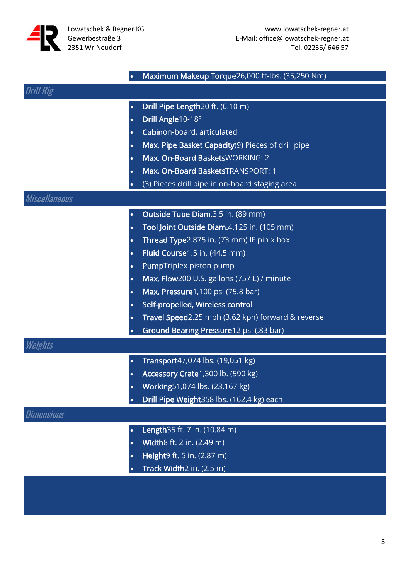

| 'I Rig<br>Drill Pipe Length20 ft. (6.10 m)<br>$\bullet$<br>Drill Angle10-18°<br>$\bullet$<br>Cabinon-board, articulated<br>$\bullet$<br>Max. Pipe Basket Capacity(9) Pieces of drill pipe<br>$\bullet$<br>Max. On-Board BasketsWORKING: 2<br>$\bullet$ |
|--------------------------------------------------------------------------------------------------------------------------------------------------------------------------------------------------------------------------------------------------------|
|                                                                                                                                                                                                                                                        |
|                                                                                                                                                                                                                                                        |
|                                                                                                                                                                                                                                                        |
|                                                                                                                                                                                                                                                        |
|                                                                                                                                                                                                                                                        |
|                                                                                                                                                                                                                                                        |
| Max. On-Board BasketsTRANSPORT: 1<br>$\bullet$                                                                                                                                                                                                         |
| (3) Pieces drill pipe in on-board staging area                                                                                                                                                                                                         |
| Miscellaneous                                                                                                                                                                                                                                          |
| Outside Tube Diam.3.5 in. (89 mm)<br>$\bullet$                                                                                                                                                                                                         |
| Tool Joint Outside Diam.4.125 in. (105 mm)<br>$\bullet$                                                                                                                                                                                                |
| Thread Type2.875 in. (73 mm) IF pin x box<br>$\bullet$                                                                                                                                                                                                 |
| Fluid Course1.5 in. (44.5 mm)<br>$\bullet$                                                                                                                                                                                                             |
| <b>PumpTriplex piston pump</b><br>$\bullet$                                                                                                                                                                                                            |
| Max. Flow200 U.S. gallons (757 L) / minute<br>$\bullet$                                                                                                                                                                                                |
| Max. Pressure1,100 psi (75.8 bar)<br>$\bullet$                                                                                                                                                                                                         |
| Self-propelled, Wireless control<br>$\bullet$                                                                                                                                                                                                          |
| Travel Speed2.25 mph (3.62 kph) forward & reverse<br>$\bullet$                                                                                                                                                                                         |
| Ground Bearing Pressure12 psi (.83 bar)<br>$\bullet$                                                                                                                                                                                                   |
| Weights                                                                                                                                                                                                                                                |
| Transport47,074 lbs. (19,051 kg)<br>$\bullet$                                                                                                                                                                                                          |
| Accessory Crate1,300 lb. (590 kg)<br>$\bullet$                                                                                                                                                                                                         |
| Working51,074 lbs. (23,167 kg)<br>$\bullet$                                                                                                                                                                                                            |
| Drill Pipe Weight358 lbs. (162.4 kg) each<br>$\bullet$                                                                                                                                                                                                 |
| Dimensions                                                                                                                                                                                                                                             |
| Length 35 ft. 7 in. (10.84 m)<br>$\bullet$                                                                                                                                                                                                             |
| Width8 ft. 2 in. (2.49 m)<br>$\bullet$                                                                                                                                                                                                                 |
| Height9 ft. 5 in. (2.87 m)                                                                                                                                                                                                                             |
| Track Width2 in. (2.5 m)                                                                                                                                                                                                                               |
|                                                                                                                                                                                                                                                        |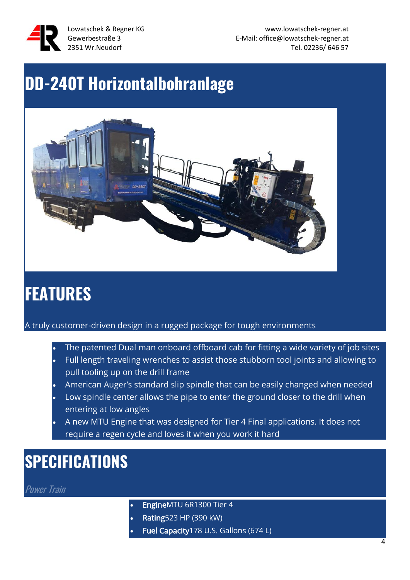

Lowatschek & Regner KG www.lowatschek-regner.at Gewerbestraße 3 E-Mail: office@lowatschek-regner.at 2351 Wr.Neudorf Tel. 02236/ 646 57

# **DD-240T Horizontalbohranlage**



# **FEATURES**

A truly customer-driven design in a rugged package for tough environments

- The patented Dual man onboard offboard cab for fitting a wide variety of job sites • Full length traveling wrenches to assist those stubborn tool joints and allowing to pull tooling up on the drill frame
- American Auger's standard slip spindle that can be easily changed when needed
- Low spindle center allows the pipe to enter the ground closer to the drill when entering at low angles
- A new MTU Engine that was designed for Tier 4 Final applications. It does not require a regen cycle and loves it when you work it hard

# **SPECIFICATIONS**

**Power Train** 

- EngineMTU 6R1300 Tier 4
- Rating523 HP (390 kW)
- Fuel Capacity 178 U.S. Gallons (674 L)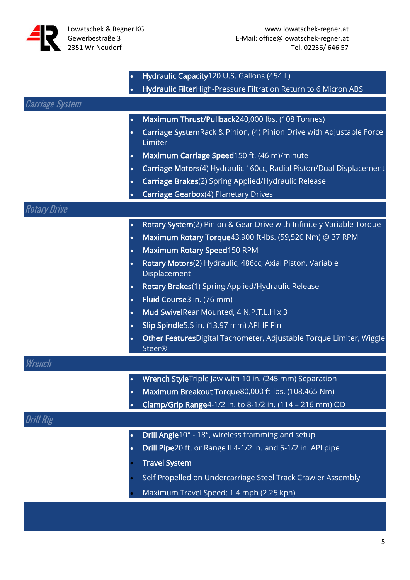

|                        | Hydraulic Capacity120 U.S. Gallons (454 L)<br>$\bullet$                                           |
|------------------------|---------------------------------------------------------------------------------------------------|
|                        | Hydraulic FilterHigh-Pressure Filtration Return to 6 Micron ABS                                   |
| <b>Carriage System</b> |                                                                                                   |
|                        | Maximum Thrust/Pullback240,000 lbs. (108 Tonnes)<br>$\bullet$                                     |
|                        | Carriage SystemRack & Pinion, (4) Pinion Drive with Adjustable Force<br>$\bullet$<br>Limiter      |
|                        | Maximum Carriage Speed150 ft. (46 m)/minute<br>$\bullet$                                          |
|                        | Carriage Motors(4) Hydraulic 160cc, Radial Piston/Dual Displacement<br>$\bullet$                  |
|                        | Carriage Brakes(2) Spring Applied/Hydraulic Release<br>$\bullet$                                  |
|                        | Carriage Gearbox(4) Planetary Drives                                                              |
| Rotary Drive           |                                                                                                   |
|                        | Rotary System(2) Pinion & Gear Drive with Infinitely Variable Torque<br>$\bullet$                 |
|                        | Maximum Rotary Torque43,900 ft-lbs. (59,520 Nm) @ 37 RPM<br>$\bullet$                             |
|                        | Maximum Rotary Speed150 RPM<br>$\bullet$                                                          |
|                        | Rotary Motors(2) Hydraulic, 486cc, Axial Piston, Variable<br>$\bullet$<br>Displacement            |
|                        | Rotary Brakes(1) Spring Applied/Hydraulic Release<br>$\bullet$                                    |
|                        | Fluid Course3 in. (76 mm)<br>$\bullet$                                                            |
|                        | Mud SwivelRear Mounted, 4 N.P.T.L.H x 3<br>$\bullet$                                              |
|                        | Slip Spindle5.5 in. (13.97 mm) API-IF Pin<br>$\bullet$                                            |
|                        | Other FeaturesDigital Tachometer, Adjustable Torque Limiter, Wiggle<br>$\bullet$<br><b>Steer®</b> |
| Wrench                 |                                                                                                   |
|                        | Wrench StyleTriple Jaw with 10 in. (245 mm) Separation<br>$\bullet$                               |
|                        | Maximum Breakout Torque80,000 ft-lbs. (108,465 Nm)<br>$\bullet$                                   |
|                        | Clamp/Grip Range4-1/2 in. to 8-1/2 in. (114 - 216 mm) OD<br>$\bullet$                             |
| 'I Rig                 |                                                                                                   |
|                        | Drill Angle10° - 18°, wireless tramming and setup                                                 |
|                        | Drill Pipe20 ft. or Range II 4-1/2 in. and 5-1/2 in. API pipe<br>$\bullet$                        |
|                        | <b>Travel System</b>                                                                              |
|                        | Self Propelled on Undercarriage Steel Track Crawler Assembly                                      |
|                        | Maximum Travel Speed: 1.4 mph (2.25 kph)                                                          |
|                        |                                                                                                   |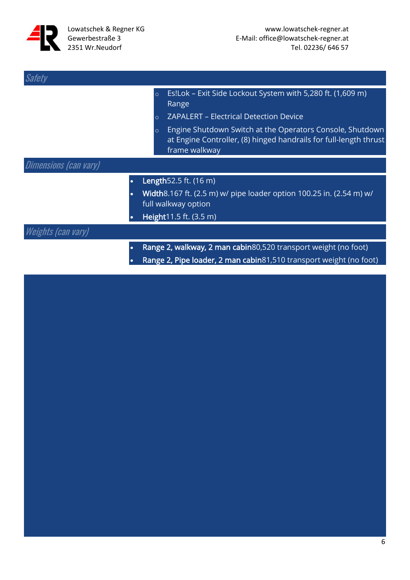

| Safety                       |   |                               |                                                                                                                                                                                                                                                                         |
|------------------------------|---|-------------------------------|-------------------------------------------------------------------------------------------------------------------------------------------------------------------------------------------------------------------------------------------------------------------------|
|                              |   | $\circ$<br>$\circ$<br>$\circ$ | Es!Lok - Exit Side Lockout System with 5,280 ft. (1,609 m)<br>Range<br><b>ZAPALERT - Electrical Detection Device</b><br>Engine Shutdown Switch at the Operators Console, Shutdown<br>at Engine Controller, (8) hinged handrails for full-length thrust<br>frame walkway |
| <b>Dimensions (can vary)</b> |   |                               |                                                                                                                                                                                                                                                                         |
|                              | ٠ |                               | Length 52.5 ft. (16 m)<br>Width8.167 ft. (2.5 m) w/ pipe loader option 100.25 in. (2.54 m) w/<br>full walkway option<br>Height11.5 ft. (3.5 m)                                                                                                                          |
| Weights (can vary)           |   |                               |                                                                                                                                                                                                                                                                         |
|                              |   |                               | Range 2, walkway, 2 man cabin80,520 transport weight (no foot)<br>Range 2, Pipe loader, 2 man cabin81,510 transport weight (no foot)                                                                                                                                    |

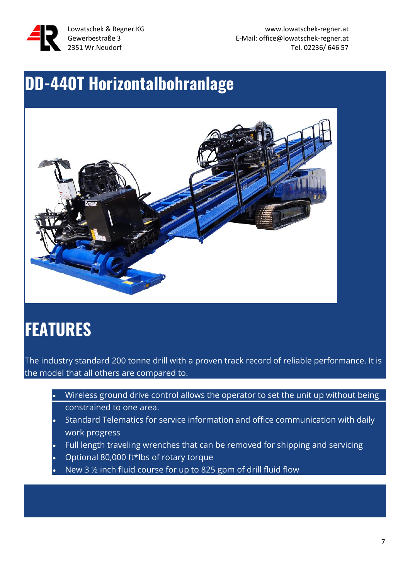

Lowatschek & Regner KG www.lowatschek-regner.at Gewerbestraße 3 and the state of the E-Mail: office@lowatschek-regner.at 2351 Wr.Neudorf Tel. 02236/ 646 57

### **DD-440T Horizontalbohranlage**



# **FEATURES**

The industry standard 200 tonne drill with a proven track record of reliable performance. It is the model that all others are compared to.

- Wireless ground drive control allows the operator to set the unit up without being constrained to one area.
- Standard Telematics for service information and office communication with daily work progress
- Full length traveling wrenches that can be removed for shipping and servicing
- Optional 80,000 ft\*lbs of rotary torque
- New 3 ½ inch fluid course for up to 825 gpm of drill fluid flow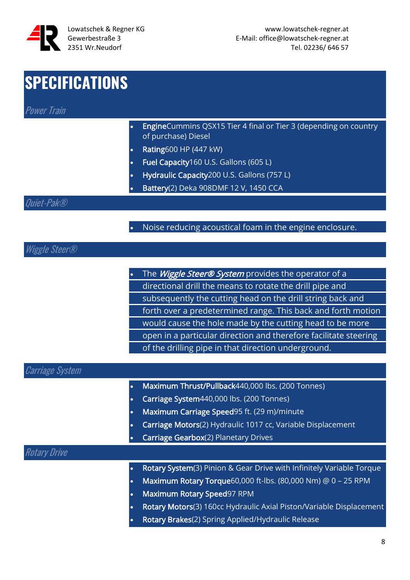

### **SPECIFICATIONS**

Power Train

- EngineCummins QSX15 Tier 4 final or Tier 3 (depending on country of purchase) Diesel
- Rating600 HP (447 kW)
- Fuel Capacity160 U.S. Gallons (605 L)
- Hydraulic Capacity200 U.S. Gallons (757 L)
- Battery(2) Deka 908DMF 12 V, 1450 CCA

#### Quiet-Pak®

• Noise reducing acoustical foam in the engine enclosure.

#### Wiggle Steer®

The Wiggle Steer® System provides the operator of a directional drill the means to rotate the drill pipe and subsequently the cutting head on the drill string back and forth over a predetermined range. This back and forth motion would cause the hole made by the cutting head to be more open in a particular direction and therefore facilitate steering of the drilling pipe in that direction underground.

#### Carriage System

- Maximum Thrust/Pullback440,000 lbs. (200 Tonnes)
- Carriage System440,000 lbs. (200 Tonnes)
- Maximum Carriage Speed95 ft. (29 m)/minute
- Carriage Motors(2) Hydraulic 1017 cc, Variable Displacement
- Carriage Gearbox(2) Planetary Drives

#### Rotary Drive

- Rotary System(3) Pinion & Gear Drive with Infinitely Variable Torque
- Maximum Rotary Torque60,000 ft-lbs. (80,000 Nm) @ 0 25 RPM
- Maximum Rotary Speed97 RPM
- Rotary Motors(3) 160cc Hydraulic Axial Piston/Variable Displacement
- Rotary Brakes(2) Spring Applied/Hydraulic Release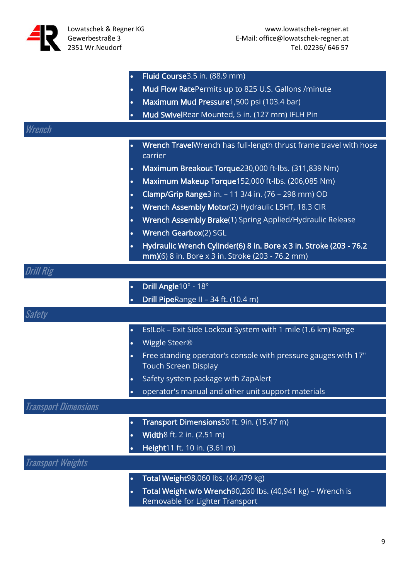

|                             | $\bullet$ | Fluid Course3.5 in. (88.9 mm)                                                                                          |
|-----------------------------|-----------|------------------------------------------------------------------------------------------------------------------------|
|                             | $\bullet$ | Mud Flow RatePermits up to 825 U.S. Gallons /minute                                                                    |
|                             | $\bullet$ | Maximum Mud Pressure1,500 psi (103.4 bar)                                                                              |
|                             | $\bullet$ | Mud SwivelRear Mounted, 5 in. (127 mm) IFLH Pin                                                                        |
| Wrench                      |           |                                                                                                                        |
|                             | $\bullet$ | Wrench TravelWrench has full-length thrust frame travel with hose<br>carrier                                           |
|                             | $\bullet$ | Maximum Breakout Torque230,000 ft-lbs. (311,839 Nm)                                                                    |
|                             | $\bullet$ | Maximum Makeup Torque152,000 ft-lbs. (206,085 Nm)                                                                      |
|                             | $\bullet$ | Clamp/Grip Range3 in. - 11 3/4 in. (76 - 298 mm) OD                                                                    |
|                             | $\bullet$ | Wrench Assembly Motor(2) Hydraulic LSHT, 18.3 CIR                                                                      |
|                             | $\bullet$ | Wrench Assembly Brake(1) Spring Applied/Hydraulic Release                                                              |
|                             | $\bullet$ | Wrench Gearbox(2) SGL                                                                                                  |
|                             | $\bullet$ | Hydraulic Wrench Cylinder(6) 8 in. Bore x 3 in. Stroke (203 - 76.2<br>mm)(6) 8 in. Bore x 3 in. Stroke (203 - 76.2 mm) |
| <b>Drill Rig</b>            |           |                                                                                                                        |
|                             | $\bullet$ | Drill Angle10° - 18°                                                                                                   |
|                             | $\bullet$ | Drill PipeRange II - 34 ft. (10.4 m)                                                                                   |
| <b>Safety</b>               |           |                                                                                                                        |
|                             | $\bullet$ | Es!Lok - Exit Side Lockout System with 1 mile (1.6 km) Range                                                           |
|                             | $\bullet$ | Wiggle Steer®                                                                                                          |
|                             | $\bullet$ | Free standing operator's console with pressure gauges with 17"<br><b>Touch Screen Display</b>                          |
|                             |           | Safety system package with ZapAlert                                                                                    |
|                             |           | operator's manual and other unit support materials                                                                     |
| <b>Transport Dimensions</b> |           |                                                                                                                        |
|                             | $\bullet$ | Transport Dimensions50 ft. 9in. (15.47 m)                                                                              |
|                             | $\bullet$ | Width8 ft. 2 in. (2.51 m)                                                                                              |
|                             |           | Height11 ft. 10 in. (3.61 m)                                                                                           |
| <b>Transport Weights</b>    |           |                                                                                                                        |
|                             | $\bullet$ | Total Weight98,060 lbs. (44,479 kg)                                                                                    |
|                             | $\bullet$ | Total Weight w/o Wrench90,260 lbs. (40,941 kg) - Wrench is<br>Removable for Lighter Transport                          |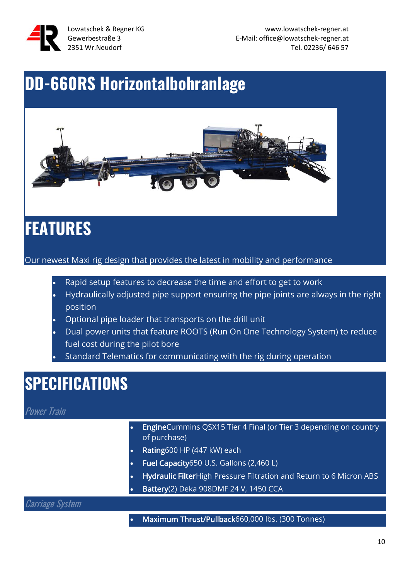

# **DD-660RS Horizontalbohranlage**



# **FEATURES**

Our newest Maxi rig design that provides the latest in mobility and performance

- Rapid setup features to decrease the time and effort to get to work
- Hydraulically adjusted pipe support ensuring the pipe joints are always in the right position
- Optional pipe loader that transports on the drill unit
- Dual power units that feature ROOTS (Run On One Technology System) to reduce fuel cost during the pilot bore
- Standard Telematics for communicating with the rig during operation

### **SPECIFICATIONS**

#### **Power Train**

- EngineCummins QSX15 Tier 4 Final (or Tier 3 depending on country of purchase)
- Rating600 HP (447 kW) each
- Fuel Capacity650 U.S. Gallons (2,460 L)
- Hydraulic FilterHigh Pressure Filtration and Return to 6 Micron ABS
- Battery(2) Deka 908DMF 24 V, 1450 CCA

#### Carriage System

• Maximum Thrust/Pullback660,000 lbs. (300 Tonnes)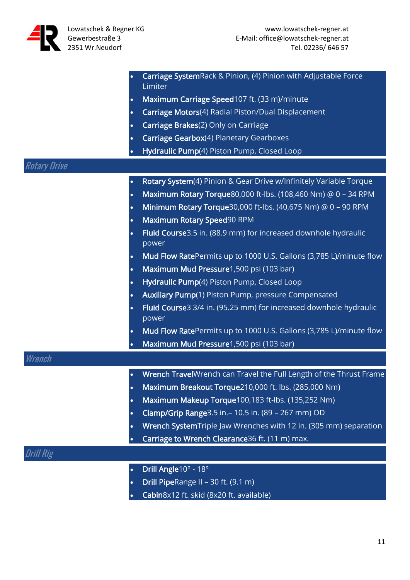

|              | Carriage SystemRack & Pinion, (4) Pinion with Adjustable Force<br>Limiter       |
|--------------|---------------------------------------------------------------------------------|
|              | Maximum Carriage Speed107 ft. (33 m)/minute<br>$\bullet$                        |
|              | Carriage Motors(4) Radial Piston/Dual Displacement<br>$\bullet$                 |
|              | Carriage Brakes(2) Only on Carriage<br>$\bullet$                                |
|              | Carriage Gearbox(4) Planetary Gearboxes<br>$\bullet$                            |
|              | Hydraulic Pump(4) Piston Pump, Closed Loop<br>$\bullet$                         |
| Rotary Drive |                                                                                 |
|              | Rotary System(4) Pinion & Gear Drive w/Infinitely Variable Torque<br>$\bullet$  |
|              | Maximum Rotary Torque80,000 ft-lbs. (108,460 Nm) @ 0 - 34 RPM<br>$\bullet$      |
|              | Minimum Rotary Torque30,000 ft-lbs. (40,675 Nm) @ 0 - 90 RPM<br>$\bullet$       |
|              | Maximum Rotary Speed90 RPM<br>$\bullet$                                         |
|              | Fluid Course3.5 in. (88.9 mm) for increased downhole hydraulic<br>power         |
|              | Mud Flow RatePermits up to 1000 U.S. Gallons (3,785 L)/minute flow<br>$\bullet$ |
|              | Maximum Mud Pressure1,500 psi (103 bar)<br>$\bullet$                            |
|              | Hydraulic Pump(4) Piston Pump, Closed Loop<br>$\bullet$                         |
|              | Auxiliary Pump(1) Piston Pump, pressure Compensated<br>$\bullet$                |
|              | Fluid Course3 3/4 in. (95.25 mm) for increased downhole hydraulic<br>power      |
|              | Mud Flow RatePermits up to 1000 U.S. Gallons (3,785 L)/minute flow<br>$\bullet$ |
|              | Maximum Mud Pressure1,500 psi (103 bar)                                         |
| Wrench       |                                                                                 |
|              | Wrench TravelWrench can Travel the Full Length of the Thrust Frame<br>$\bullet$ |
|              | Maximum Breakout Torque210,000 ft. lbs. (285,000 Nm)<br>$\bullet$               |
|              | Maximum Makeup Torque100,183 ft-lbs. (135,252 Nm)<br>$\bullet$                  |
|              | Clamp/Grip Range 3.5 in. - 10.5 in. (89 - 267 mm) OD<br>$\bullet$               |
|              | Wrench SystemTriple Jaw Wrenches with 12 in. (305 mm) separation<br>$\bullet$   |
|              | Carriage to Wrench Clearance36 ft. (11 m) max.                                  |
| Drill Rig    |                                                                                 |
|              | Drill Angle10° - 18°<br>$\bullet$                                               |
|              | Drill PipeRange II - 30 ft. (9.1 m)                                             |

• Cabin8x12 ft. skid (8x20 ft. available)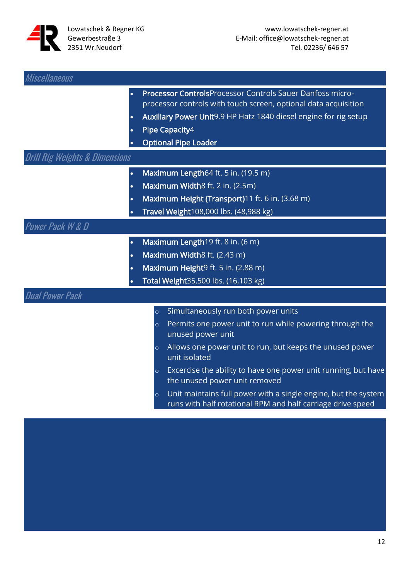

| <i><b>Miscellaneous</b></i>               |                                                                                                                                          |
|-------------------------------------------|------------------------------------------------------------------------------------------------------------------------------------------|
|                                           | <b>Processor Controls</b> Processor Controls Sauer Danfoss micro-<br>processor controls with touch screen, optional data acquisition     |
| $\bullet$                                 | Auxiliary Power Unit9.9 HP Hatz 1840 diesel engine for rig setup                                                                         |
|                                           | Pipe Capacity4                                                                                                                           |
|                                           | <b>Optional Pipe Loader</b>                                                                                                              |
| <b>Drill Rig Weights &amp; Dimensions</b> |                                                                                                                                          |
| $\bullet$                                 | Maximum Length64 ft. 5 in. (19.5 m)                                                                                                      |
| $\bullet$                                 | Maximum Width8 ft. 2 in. (2.5m)                                                                                                          |
| $\bullet$                                 | Maximum Height (Transport)11 ft. 6 in. (3.68 m)                                                                                          |
|                                           | Travel Weight108,000 lbs. (48,988 kg)                                                                                                    |
| <b>Power Pack W &amp; D</b>               |                                                                                                                                          |
| $\bullet$                                 | Maximum Length19 ft. 8 in. (6 m)                                                                                                         |
|                                           | Maximum Width8 ft. (2.43 m)                                                                                                              |
| $\bullet$                                 | Maximum Height9 ft. 5 in. (2.88 m)                                                                                                       |
|                                           | Total Weight35,500 lbs. (16,103 kg)                                                                                                      |
| <b>Dual Power Pack</b>                    |                                                                                                                                          |
|                                           | Simultaneously run both power units<br>$\circ$                                                                                           |
|                                           | Permits one power unit to run while powering through the<br>$\circ$<br>unused power unit                                                 |
|                                           | Allows one power unit to run, but keeps the unused power<br>$\circ$<br>unit isolated                                                     |
|                                           | Excercise the ability to have one power unit running, but have<br>$\circ$<br>the unused power unit removed                               |
|                                           | Unit maintains full power with a single engine, but the system<br>$\circ$<br>runs with half rotational RPM and half carriage drive speed |
|                                           |                                                                                                                                          |
|                                           |                                                                                                                                          |
|                                           |                                                                                                                                          |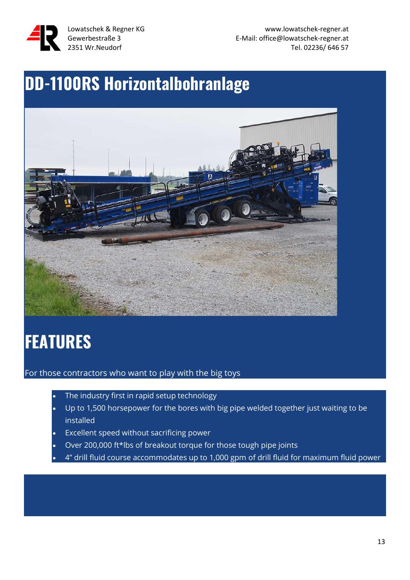

Lowatschek & Regner KG www.lowatschek-regner.at Gewerbestraße 3 E-Mail: office@lowatschek-regner.at 2351 Wr.Neudorf Tel. 02236/ 646 57

# **DD-1100RS Horizontalbohranlage**



# **FEATURES**

For those contractors who want to play with the big toys

- The industry first in rapid setup technology
- Up to 1,500 horsepower for the bores with big pipe welded together just waiting to be installed
- Excellent speed without sacrificing power
- Over 200,000 ft\*lbs of breakout torque for those tough pipe joints
- 4" drill fluid course accommodates up to 1,000 gpm of drill fluid for maximum fluid power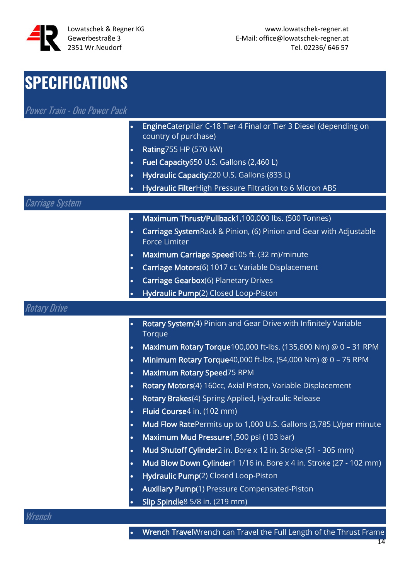

#### **SPECIFICATIONS** Power Train - One Power Pack • EngineCaterpillar C-18 Tier 4 Final or Tier 3 Diesel (depending on country of purchase) • Rating755 HP (570 kW) • Fuel Capacity650 U.S. Gallons (2,460 L) • Hydraulic Capacity220 U.S. Gallons (833 L) • Hydraulic FilterHigh Pressure Filtration to 6 Micron ABS Carriage System • Maximum Thrust/Pullback1,100,000 lbs. (500 Tonnes) • Carriage SystemRack & Pinion, (6) Pinion and Gear with Adjustable Force Limiter • Maximum Carriage Speed105 ft. (32 m)/minute • Carriage Motors(6) 1017 cc Variable Displacement • Carriage Gearbox(6) Planetary Drives • Hydraulic Pump(2) Closed Loop-Piston Rotary Drive Rotary System(4) Pinion and Gear Drive with Infinitely Variable **Torque** • Maximum Rotary Torque100,000 ft-lbs. (135,600 Nm) @ 0 – 31 RPM • Minimum Rotary Torque40,000 ft-lbs. (54,000 Nm) @ 0 – 75 RPM • Maximum Rotary Speed75 RPM Rotary Motors(4) 160cc, Axial Piston, Variable Displacement Rotary Brakes(4) Spring Applied, Hydraulic Release • Fluid Course4 in. (102 mm) • Mud Flow RatePermits up to 1,000 U.S. Gallons (3,785 L)/per minute • Maximum Mud Pressure1,500 psi (103 bar) • Mud Shutoff Cylinder2 in. Bore x 12 in. Stroke (51 - 305 mm) • Mud Blow Down Cylinder1 1/16 in. Bore x 4 in. Stroke (27 - 102 mm) • Hydraulic Pump(2) Closed Loop-Piston • Auxiliary Pump(1) Pressure Compensated-Piston • Slip Spindle8 5/8 in. (219 mm)

#### Wrench